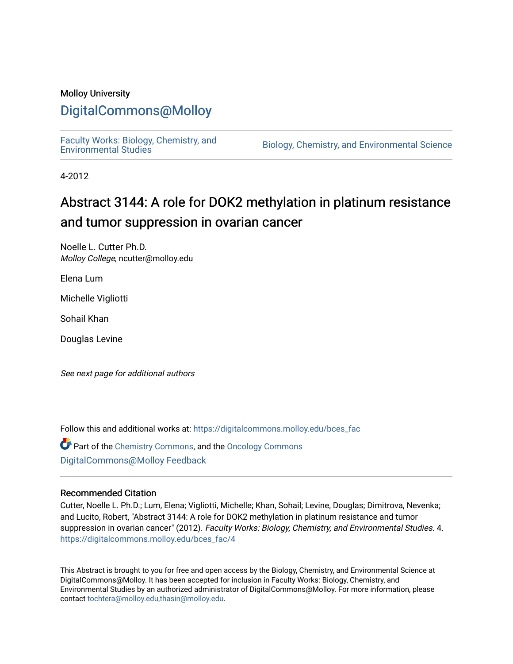#### Molloy University

### [DigitalCommons@Molloy](https://digitalcommons.molloy.edu/)

[Faculty Works: Biology, Chemistry, and](https://digitalcommons.molloy.edu/bces_fac) 

Biology, Chemistry, and Environmental Science

4-2012

## Abstract 3144: A role for DOK2 methylation in platinum resistance and tumor suppression in ovarian cancer

Noelle L. Cutter Ph.D. Molloy College, ncutter@molloy.edu

Elena Lum

Michelle Vigliotti

Sohail Khan

Douglas Levine

See next page for additional authors

Follow this and additional works at: [https://digitalcommons.molloy.edu/bces\\_fac](https://digitalcommons.molloy.edu/bces_fac?utm_source=digitalcommons.molloy.edu%2Fbces_fac%2F4&utm_medium=PDF&utm_campaign=PDFCoverPages)

Part of the [Chemistry Commons,](https://network.bepress.com/hgg/discipline/131?utm_source=digitalcommons.molloy.edu%2Fbces_fac%2F4&utm_medium=PDF&utm_campaign=PDFCoverPages) and the [Oncology Commons](https://network.bepress.com/hgg/discipline/694?utm_source=digitalcommons.molloy.edu%2Fbces_fac%2F4&utm_medium=PDF&utm_campaign=PDFCoverPages) [DigitalCommons@Molloy Feedback](https://molloy.libwizard.com/f/dcfeedback)

#### Recommended Citation

Cutter, Noelle L. Ph.D.; Lum, Elena; Vigliotti, Michelle; Khan, Sohail; Levine, Douglas; Dimitrova, Nevenka; and Lucito, Robert, "Abstract 3144: A role for DOK2 methylation in platinum resistance and tumor suppression in ovarian cancer" (2012). Faculty Works: Biology, Chemistry, and Environmental Studies. 4. [https://digitalcommons.molloy.edu/bces\\_fac/4](https://digitalcommons.molloy.edu/bces_fac/4?utm_source=digitalcommons.molloy.edu%2Fbces_fac%2F4&utm_medium=PDF&utm_campaign=PDFCoverPages)

This Abstract is brought to you for free and open access by the Biology, Chemistry, and Environmental Science at DigitalCommons@Molloy. It has been accepted for inclusion in Faculty Works: Biology, Chemistry, and Environmental Studies by an authorized administrator of DigitalCommons@Molloy. For more information, please contact [tochtera@molloy.edu,thasin@molloy.edu.](mailto:tochtera@molloy.edu,thasin@molloy.edu)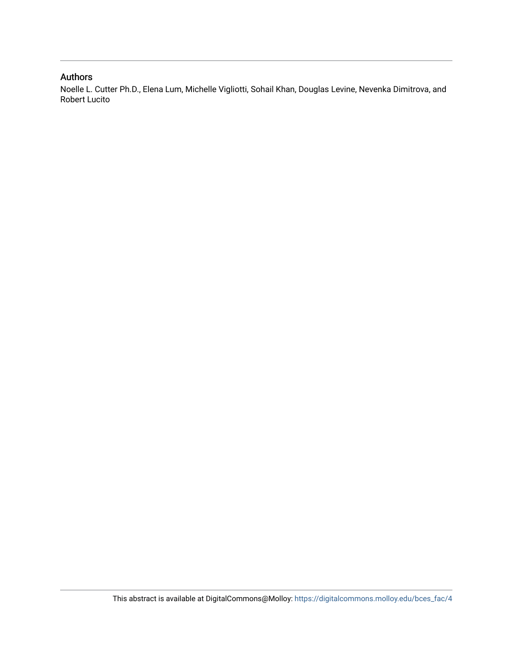#### Authors

Noelle L. Cutter Ph.D., Elena Lum, Michelle Vigliotti, Sohail Khan, Douglas Levine, Nevenka Dimitrova, and Robert Lucito